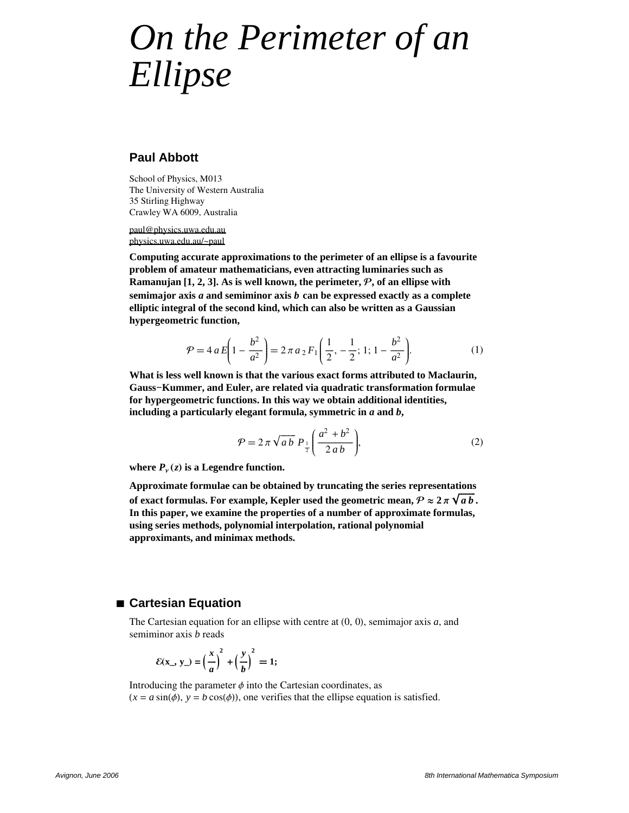# *On the Perimeter of an Ellipse*

## **Paul Abbott**

School of Physics, M013 The University of Western Australia 35 Stirling Highway Crawley WA 6009, Australia

paul@physics.uwa.edu.au physics.uwa.edu.au/~paul

**Computing accurate approximations to the perimeter of an ellipse is a favourite problem of amateur mathematicians, even attracting luminaries such as Ramanujan [1, 2, 3]. As is well known, the perimeter, P, of an ellipse with semimajor axis** *a* **and semiminor axis** *b* **can be expressed exactly as a complete elliptic integral of the second kind, which can also be written as a Gaussian hypergeometric function,**

$$
\mathcal{P} = 4 a E \left( 1 - \frac{b^2}{a^2} \right) = 2 \pi a_2 F_1 \left( \frac{1}{2}, -\frac{1}{2}; 1; 1 - \frac{b^2}{a^2} \right).
$$
 (1)

**What is less well known is that the various exact forms attributed to Maclaurin, Gauss−Kummer, and Euler, are related via quadratic transformation formulae for hypergeometric functions. In this way we obtain additional identities, including a particularly elegant formula, symmetric in** *a* **and** *b***,**

$$
\mathcal{P} = 2\pi \sqrt{ab} \ P_{\frac{1}{2}} \left( \frac{a^2 + b^2}{2ab} \right),\tag{2}
$$

where  $P_{\nu}(z)$  is a Legendre function.

**Approximate formulae can be obtained by truncating the series representations of exact formulas. For example, Kepler used the geometric mean,**  $\mathcal{P} \approx 2\,\pi\,\sqrt{\mathstrut{a}\mathstrut{\mathstrut{b}}}$  **. In this paper, we examine the properties of a number of approximate formulas, using series methods, polynomial interpolation, rational polynomial approximants, and minimax methods.**

## **à Cartesian Equation**

The Cartesian equation for an ellipse with centre at  $(0, 0)$ , semimajor axis  $a$ , and semiminor axis *b* reads

$$
\mathcal{E}(\mathbf{x}_{-}, \mathbf{y}_{-}) = \left(\frac{x}{a}\right)^2 + \left(\frac{y}{b}\right)^2 = 1;
$$

Introducing the parameter  $\phi$  into the Cartesian coordinates, as  $(x = a \sin(\phi), y = b \cos(\phi))$ , one verifies that the ellipse equation is satisfied.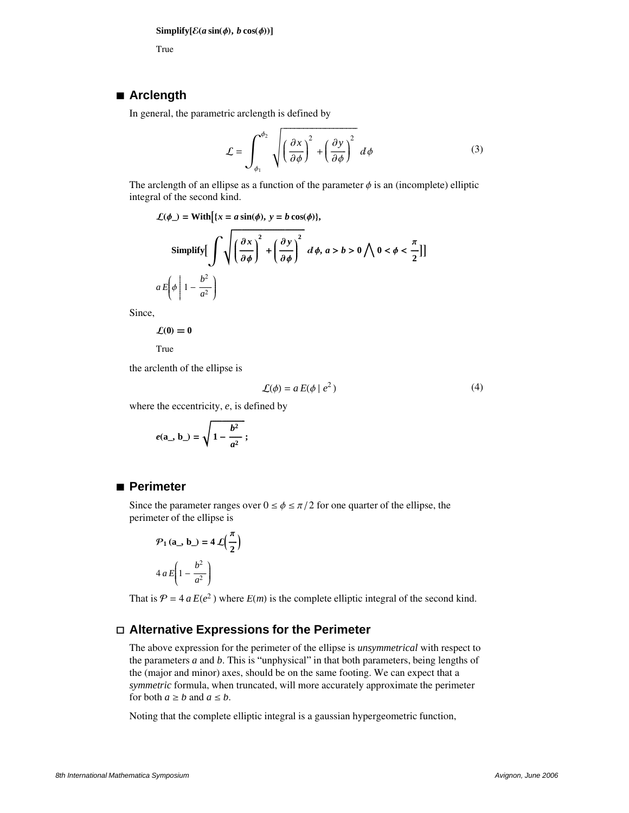True

#### **à Arclength**

In general, the parametric arclength is defined by

$$
\mathcal{L} = \int_{\phi_1}^{\phi_2} \sqrt{\left(\frac{\partial x}{\partial \phi}\right)^2 + \left(\frac{\partial y}{\partial \phi}\right)^2} d\phi \tag{3}
$$

The arclength of an ellipse as a function of the parameter  $\phi$  is an (incomplete) elliptic integral of the second kind.

$$
\mathcal{L}(\phi_{-}) = \text{With}\big\{x = a\sin(\phi), y = b\cos(\phi)\big\},\
$$
\n
$$
\text{Simplify}\big[\int \sqrt{\left(\frac{\partial x}{\partial \phi}\right)^2 + \left(\frac{\partial y}{\partial \phi}\right)^2} \,d\phi, a > b > 0 \,\bigwedge 0 < \phi < \frac{\pi}{2}\big]\big]
$$
\n
$$
a \, E\bigg(\phi \bigg| 1 - \frac{b^2}{a^2}\bigg)
$$

Since,

$$
\mathcal{L}(0)=0
$$

True

the arclenth of the ellipse is

$$
\mathcal{L}(\phi) = a E(\phi \mid e^2)
$$
 (4)

where the eccentricity, *e*, is defined by

$$
e(\mathbf{a}_\text{-}, \mathbf{b}_\text{-}) = \sqrt{1 - \frac{b^2}{a^2}};
$$

## **à Perimeter**

Since the parameter ranges over  $0 \le \phi \le \pi/2$  for one quarter of the ellipse, the perimeter of the ellipse is

$$
\mathcal{P}_1(\mathbf{a}_-, \mathbf{b}_-) = 4 \mathcal{L}\left(\frac{\pi}{2}\right)
$$

$$
4 a E\left(1 - \frac{b^2}{a^2}\right)
$$

That is  $P = 4 a E(e^2)$  where  $E(m)$  is the complete elliptic integral of the second kind.

## **á Alternative Expressions for the Perimeter**

The above expression for the perimeter of the ellipse is *unsymmetrical* with respect to the parameters  $a$  and  $b$ . This is "unphysical" in that both parameters, being lengths of the (major and minor) axes, should be on the same footing. We can expect that a *symmetric* formula, when truncated, will more accurately approximate the perimeter for both  $a \geq b$  and  $a \leq b$ .

Noting that the complete elliptic integral is a gaussian hypergeometric function,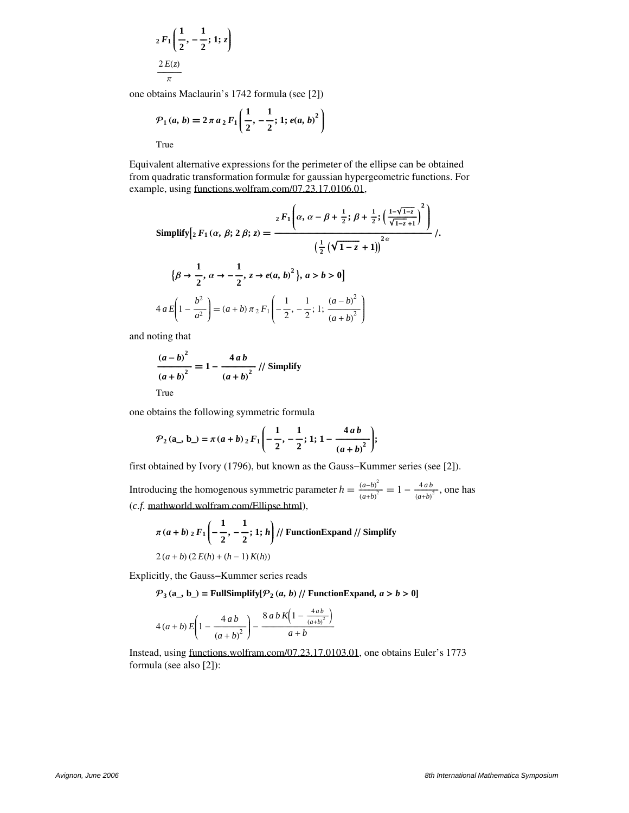$$
{}_2F_1\left(\frac{1}{2},-\frac{1}{2};1;z\right)
$$

$$
\frac{2E(z)}{\pi}
$$

one obtains Maclaurin's 1742 formula (see [2])

$$
\mathcal{P}_1(a,b) = 2 \pi a_2 F_1\left(\frac{1}{2}, -\frac{1}{2}; 1; e(a, b)^2\right)
$$

True

Equivalent alternative expressions for the perimeter of the ellipse can be obtained from quadratic transformation formulæ for gaussian hypergeometric functions. For example, using functions.wolfram.com/07.23.17.0106.01,

Simplify 
$$
\left[2 F_1(\alpha, \beta; 2 \beta; z) = \frac{2 F_1 \left(\alpha, \alpha - \beta + \frac{1}{2}; \beta + \frac{1}{2}; \left(\frac{1 - \sqrt{1 - z}}{\sqrt{1 - z} + 1}\right)^2\right)}{\left(\frac{1}{2} (\sqrt{1 - z} + 1)\right)^{2\alpha}}\right]
$$
,  

$$
\left\{\beta \rightarrow \frac{1}{2}, \alpha \rightarrow -\frac{1}{2}, z \rightarrow e(a, b)^2\right\}, a > b > 0
$$

$$
4 a E\left(1 - \frac{b^2}{a^2}\right) = (a + b) \pi_2 F_1\left(-\frac{1}{2}, -\frac{1}{2}; 1; \frac{(a - b)^2}{(a + b)^2}\right)
$$

and noting that

**2**

$$
\frac{(a-b)^2}{(a+b)^2} = 1 - \frac{4ab}{(a+b)^2} \text{ // Simplify}
$$
\nTrue

one obtains the following symmetric formula

$$
P_2(a_-, b_-) = \pi (a+b) {}_2F_1\left(-\frac{1}{2}, -\frac{1}{2}; 1; 1-\frac{4ab}{(a+b)^2}\right);
$$

first obtained by Ivory (1796), but known as the Gauss−Kummer series (see [2]).

Introducing the homogenous symmetric parameter  $h = \frac{(a-b)^2}{(a+b)^2}$  $\frac{(a-b)^2}{(a+b)^2} = 1 - \frac{4ab}{(a+b)^2}$  $\frac{4ab}{(a+b)^2}$ , one has (*c.f.* mathworld.wolfram.com/Ellipse.html),

$$
\pi (a+b) {}_{2}F_{1}\left(-\frac{1}{2},-\frac{1}{2};1;h\right)/\!/ \text{ FunctionExpand } \!/\!/ \text{ Simplify}
$$
\n
$$
2(a+b) (2E(h) + (h-1)K(h))
$$

Explicitly, the Gauss−Kummer series reads

 $P_3$ (a\_, b\_) = FullSimplify[ $P_2$ (a, b) // FunctionExpand, a > b > 0]

$$
4 (a+b) E \left( 1 - \frac{4 ab}{(a+b)^{2}} \right) - \frac{8 ab K \left( 1 - \frac{4 ab}{(a+b)^{2}} \right)}{a+b}
$$

Instead, using functions.wolfram.com/07.23.17.0103.01, one obtains Euler's 1773 formula (see also [2]):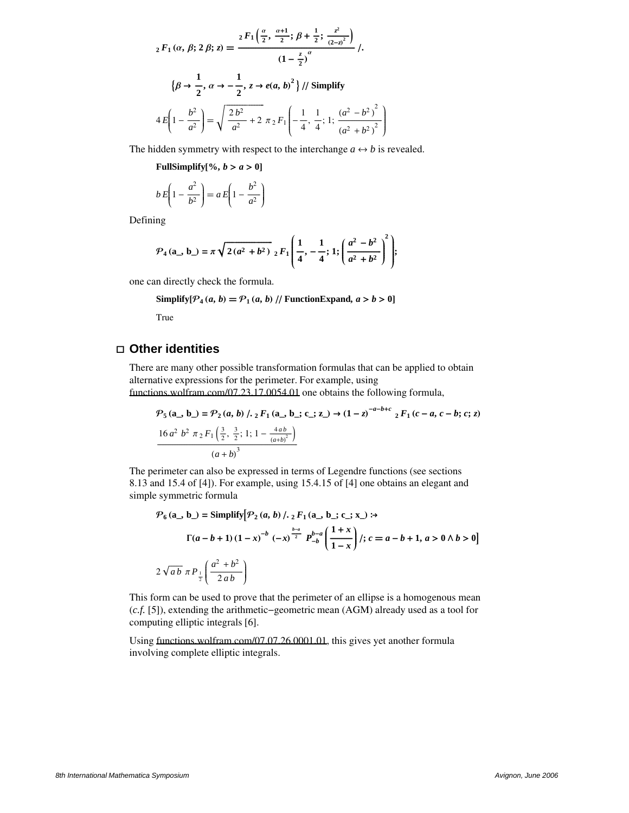$$
{}_{2}F_{1}(\alpha, \beta; 2\beta; z) = \frac{{}_{2}F_{1}\left(\frac{\alpha}{2}, \frac{\alpha+1}{2}; \beta+\frac{1}{2}; \frac{z^{2}}{(2-z)^{2}}\right)}{(1-\frac{z}{2})^{\alpha}} \, /.
$$
\n
$$
\left\{\beta \to \frac{1}{2}, \alpha \to -\frac{1}{2}, z \to e(a, b)^{2}\right\} / / \text{Simplify}
$$
\n
$$
4E\left(1 - \frac{b^{2}}{a^{2}}\right) = \sqrt{\frac{2b^{2}}{a^{2}} + 2 \pi_{2}F_{1}\left(-\frac{1}{4}, \frac{1}{4}; 1; \frac{(a^{2} - b^{2})^{2}}{(a^{2} + b^{2})^{2}}\right)}
$$

The hidden symmetry with respect to the interchange  $a \leftrightarrow b$  is revealed.

y

 $\overline{\phantom{a}}$  $\cdot$ 

**FullSimplify** $[\%$ ,  $b > a > 0]$ 

$$
b E\left(1 - \frac{a^2}{b^2}\right) = a E\left(1 - \frac{b^2}{a^2}\right)
$$

Defining

$$
P_4(a_-, b_-) = \pi \sqrt{2(a^2 + b^2)} \, {}_2F_1\left(\frac{1}{4}, -\frac{1}{4}; 1; \left(\frac{a^2 - b^2}{a^2 + b^2}\right)^2\right);
$$

one can directly check the formula.

Simplify[
$$
P_4(a, b) = P_1(a, b) / |
$$
 FunctionExpand,  $a > b > 0$ ]

True

## **á Other identities**

There are many other possible transformation formulas that can be applied to obtain alternative expressions for the perimeter. For example, using functions.wolfram.com/07.23.17.0054.01 one obtains the following formula,

$$
\mathcal{P}_5(\mathbf{a}_\perp, \mathbf{b}_\perp) = \mathcal{P}_2(a, b) / . \ _2F_1(\mathbf{a}_\perp, \mathbf{b}_\perp; \mathbf{c}_\perp; \mathbf{z}_\perp) \rightarrow (1-z)^{-a-b+c} \ _2F_1(c-a, c-b; c; z)
$$
  

$$
\frac{16 a^2 b^2 \pi_2 F_1\left(\frac{3}{2}, \frac{3}{2}; 1; 1 - \frac{4ab}{(a+b)^2}\right)}{(a+b)^3}
$$

The perimeter can also be expressed in terms of Legendre functions (see sections 8.13 and 15.4 of [4]). For example, using 15.4.15 of [4] one obtains an elegant and simple symmetric formula

$$
\mathcal{P}_6(a_-, b_-) = \text{Simplify} \left[ \mathcal{P}_2(a, b) / . \, _2F_1(a_-, b_-, c_-, x_-) : \rightarrow \right]
$$
\n
$$
\Gamma(a - b + 1) \left(1 - x\right)^{-b} \left( -x\right)^{\frac{b-a}{2}} P_{-b}^{b-a} \left( \frac{1 + x}{1 - x} \right) / ; \, c = a - b + 1, \, a > 0 \land b > 0
$$
\n
$$
2 \sqrt{ab} \pi P_{\frac{1}{2}} \left( \frac{a^2 + b^2}{2 \, ab} \right)
$$

This form can be used to prove that the perimeter of an ellipse is a homogenous mean (*c.f.* [5]), extending the arithmetic−geometric mean (AGM) already used as a tool for computing elliptic integrals [6].

Using functions.wolfram.com/07.07.26.0001.01, this gives yet another formula involving complete elliptic integrals.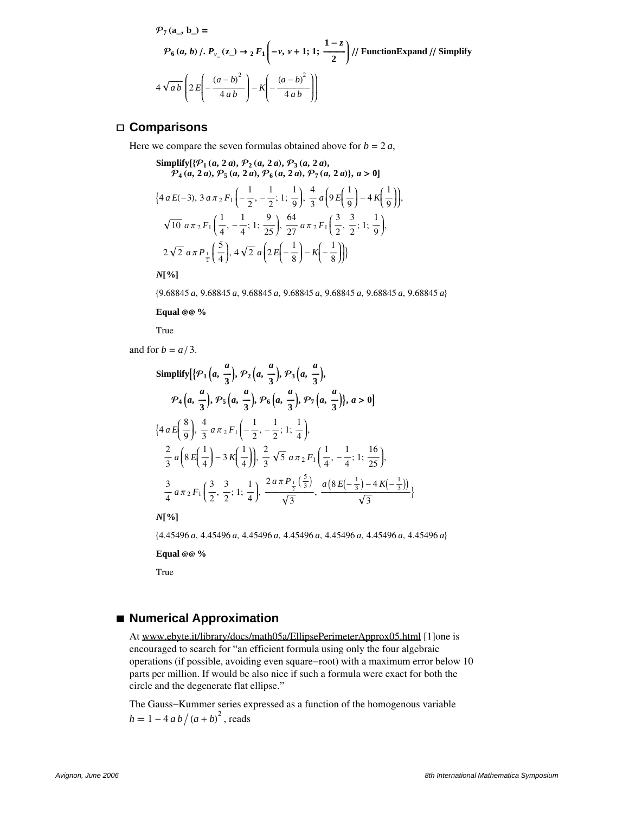$$
\mathcal{P}_7(\mathbf{a}_-, \mathbf{b}_-) =
$$
\n
$$
\mathcal{P}_6(a, b) / \mathcal{P}_{\nu_{-}}(\mathbf{z}_-) \to {}_2F_1\left(-\nu, \nu+1; 1; \frac{1-z}{2}\right) // \text{ FunctionExpand } // \text{ Simplify}
$$
\n
$$
4\sqrt{ab}\left(2E\left(-\frac{(a-b)^2}{4ab}\right) - K\left(-\frac{(a-b)^2}{4ab}\right)\right)
$$

## **á Comparisons**

Here we compare the seven formulas obtained above for  $b = 2a$ ,

Simplify 
$$
[\{\mathcal{P}_1(a, 2a), \mathcal{P}_2(a, 2a), \mathcal{P}_3(a, 2a),
$$
  
\n $\mathcal{P}_4(a, 2a), \mathcal{P}_5(a, 2a), \mathcal{P}_6(a, 2a), \mathcal{P}_7(a, 2a)\}, a > 0]$   
\n $\{4 a E(-3), 3 a \pi_2 F_1\left(-\frac{1}{2}, -\frac{1}{2}; 1; \frac{1}{9}\right), \frac{4}{3} a\left(9 E\left(\frac{1}{9}\right) - 4 K\left(\frac{1}{9}\right)\right),\$   
\n $\sqrt{10} a \pi_2 F_1\left(\frac{1}{4}, -\frac{1}{4}; 1; \frac{9}{25}\right), \frac{64}{27} a \pi_2 F_1\left(\frac{3}{2}, \frac{3}{2}; 1; \frac{1}{9}\right),$   
\n $2 \sqrt{2} a \pi P_{\frac{1}{2}}\left(\frac{5}{4}\right), 4 \sqrt{2} a\left(2 E\left(-\frac{1}{8}\right) - K\left(-\frac{1}{8}\right)\right)\}$ 

*N*<sup>[%]</sup>

89.68845 *a*, 9.68845 *a*, 9.68845 *a*, 9.68845 *a*, 9.68845 *a*, 9.68845 *a*, 9.68845 *a*<

**Equal** @@ %

True

and for  $b = a/3$ .

Simplify 
$$
\{ \{ \mathcal{P}_1 \left( a, \frac{a}{3} \right), \mathcal{P}_2 \left( a, \frac{a}{3} \right), \mathcal{P}_3 \left( a, \frac{a}{3} \right), \right.
$$
  
\n $\mathcal{P}_4 \left( a, \frac{a}{3} \right), \mathcal{P}_5 \left( a, \frac{a}{3} \right), \mathcal{P}_6 \left( a, \frac{a}{3} \right), \mathcal{P}_7 \left( a, \frac{a}{3} \right), a > 0 \}$   
\n $\{ 4 a E \left( \frac{8}{9} \right), \frac{4}{3} a \pi_2 F_1 \left( -\frac{1}{2}, -\frac{1}{2}; 1; \frac{1}{4} \right), \frac{2}{3} a \left( 8 E \left( \frac{1}{4} \right) - 3 K \left( \frac{1}{4} \right) \right), \frac{2}{3} \sqrt{5} a \pi_2 F_1 \left( \frac{1}{4}, -\frac{1}{4}; 1; \frac{16}{25} \right), \frac{3}{4} a \pi_2 F_1 \left( \frac{3}{2}, \frac{3}{2}; 1; \frac{1}{4} \right), \frac{2 a \pi P_1 \left( \frac{5}{3} \right)}{\sqrt{3}}, \frac{a \left( 8 E \left( -\frac{1}{3} \right) - 4 K \left( -\frac{1}{3} \right) \right)}{\sqrt{3}} \}$ 

*N*<sup>[%]</sup>

84.45496 *a*, 4.45496 *a*, 4.45496 *a*, 4.45496 *a*, 4.45496 *a*, 4.45496 *a*, 4.45496 *a*<

**Equal** @@ %

True

# **à Numerical Approximation**

At www.ebyte.it/library/docs/math05a/EllipsePerimeterApprox05.html [1]one is encouraged to search for "an efficient formula using only the four algebraic operations (if possible, avoiding even square−root) with a maximum error below 10 parts per million. If would be also nice if such a formula were exact for both the circle and the degenerate flat ellipse."

The Gauss−Kummer series expressed as a function of the homogenous variable  $h = 1 - 4 a b / (a + b)^2$ , reads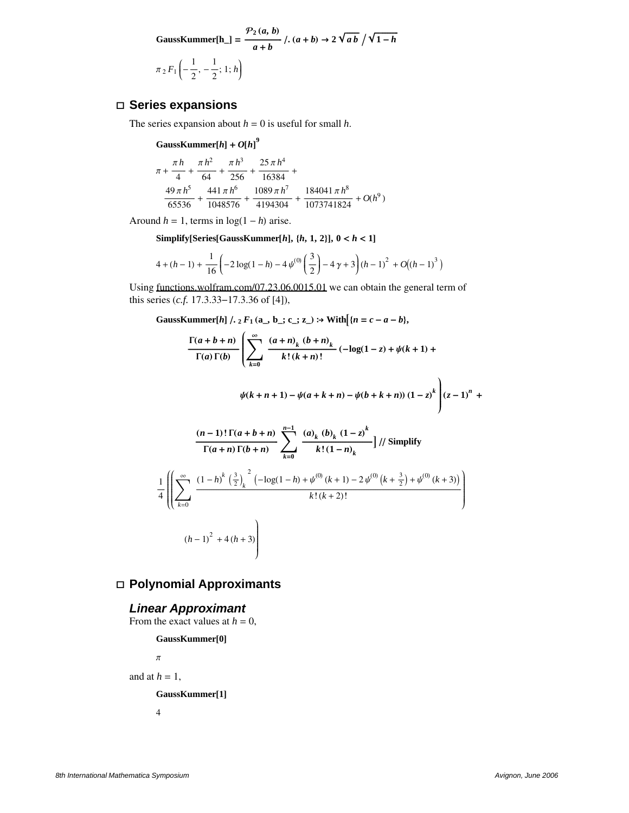GaussKummer[h<sub>-</sub>] = 
$$
\frac{\mathcal{P}_2(a, b)}{a+b}
$$
,  $(a+b) \rightarrow 2\sqrt{ab}/\sqrt{1-h}$   
 $\pi_2 F_1\left(-\frac{1}{2}, -\frac{1}{2}; 1; h\right)$ 

## **á Series expansions**

The series expansion about  $h = 0$  is useful for small  $h$ .

 $G$ aussKummer $[h] + O[h]$ <sup>9</sup>

$$
\begin{aligned} \pi+\frac{\pi\,h}{4}+\frac{\pi\,h^2}{64}+\frac{\pi\,h^3}{256}+\frac{25\,\pi\,h^4}{16384}+\\ \frac{49\,\pi\,h^5}{65536}+\frac{441\,\pi\,h^6}{1048576}+\frac{1089\,\pi\,h^7}{4194304}+\frac{184041\,\pi\,h^8}{1073741824}+O(h^9) \end{aligned}
$$

Around  $h = 1$ , terms in  $log(1 - h)$  arise.

**Simplify[Series***[GaussKummer***<sup>** $[h]$ **</sup>,**  $\{h, 1, 2\}$ **],**  $0 < h < 1$ **]** 

$$
4 + (h-1) + \frac{1}{16} \left(-2 \log(1-h) - 4 \psi^{(0)}\left(\frac{3}{2}\right) - 4 \gamma + 3\right) (h-1)^{2} + O((h-1)^{3})
$$

Using functions.wolfram.com/07.23.06.0015.01 we can obtain the general term of this series (*c.f.* 17.3.33−17.3.36 of [4]),

GaussKummer[h] /.  ${}_2F_1$  (a\_, b\_; c\_; z\_) :> With  $(n = c - a - b)$ ,

$$
\frac{\Gamma(a+b+n)}{\Gamma(a)\Gamma(b)} \left( \sum_{k=0}^{\infty} \frac{(a+n)_k (b+n)_k}{k! (k+n)!} (-\log(1-z) + \psi(k+1) + \psi(k+n+1)) \frac{((k+n) + 1)}{k! (k+n)!} \right)
$$
  

$$
\psi(k+n+1) - \psi(a+k+n) - \psi(b+k+n) \left(1-z\right)^k \left( z-1\right)^n + \frac{(n-1)!\Gamma(a+b+n)}{\Gamma(a+n)\Gamma(b+n)} \sum_{k=0}^{n-1} \frac{(a)_k (b)_k (1-z)^k}{k! (1-n)_k} \right) / \beta
$$
  

$$
\frac{1}{4} \left( \left( \sum_{k=0}^{\infty} \frac{(1-h)^k \left(\frac{3}{2}\right)_k^2 (-\log(1-h) + \psi^{(0)}(k+1) - 2\psi^{(0)}(k+\frac{3}{2}) + \psi^{(0)}(k+3))}{k! (k+2)!} \right) \right)
$$
  

$$
(h-1)^2 + 4(h+3)
$$

## **á Polynomial Approximants**

## **Linear Approximant**

From the exact values at  $h = 0$ ,

GaussKummer[0]  
\n
$$
\pi
$$
  
\nand at  $h = 1$ ,  
\nGaussKummer[1]

4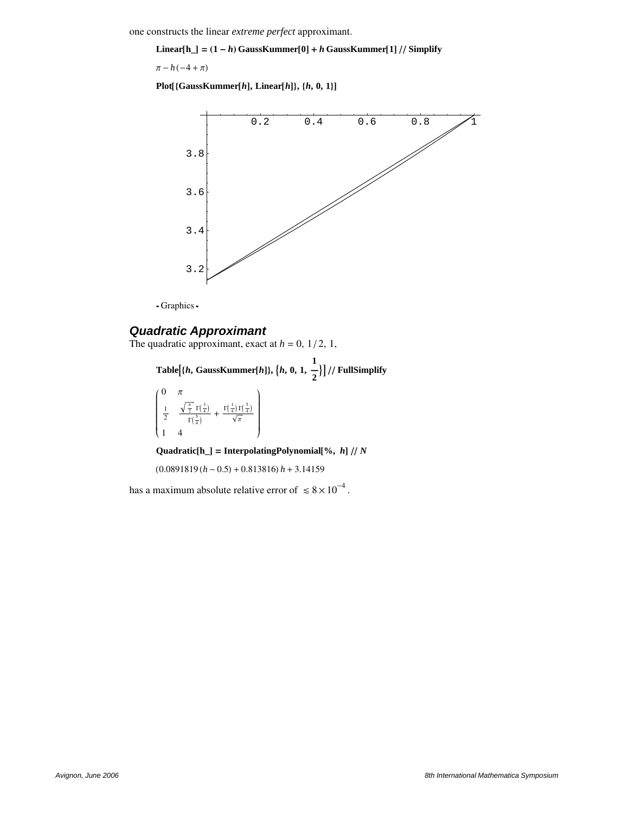one constructs the linear *extreme perfect* approximant.

**Linear**<sup>[h\_]</sup> =  $(1-h)$  GaussKummer<sup>[0]</sup> + *h* GaussKummer<sup>[1]</sup> // Simplify

 $\pi - h(-4 + \pi)$ 

 $Plot[\{GaussKummer[h], Linear[h]\}, \{h, 0, 1\}]$ 



- Graphics -

## **Quadratic Approximant**

The quadratic approximant, exact at  $h = 0$ ,  $1/2$ , 1,

**Table**  $\{h, \text{GaussKummer}[h]\}, \{h, 0, 1,$ **1**  $\frac{1}{2}$ | // FullSimplify i <sup>k</sup> |<br>|<br>|<br>|<br>|  $0 \pi$  $\frac{1}{2}$  $\frac{\sqrt{\frac{\pi}{2}} \Gamma(\frac{3}{4})}{\pi \sqrt{2}}$  $\Gamma(\frac{5}{4})$ +  $\frac{\Gamma(\frac{1}{4})\Gamma(\frac{5}{4})}{\sqrt{\pi}}$ 1 4  $\mathbf{I}$  $\overline{a}$  $\overline{\phantom{a}}$ 

 $\textbf{Quadratic}[\mathbf{h}_\text{m}] = \textbf{InterpolatingPolynomial}$  [%,  $\textit{h}$ ] // N

 $(0.0891819 (h - 0.5) + 0.813816) h + 3.14159$ 

has a maximum absolute relative error of  $\leq 8 \times 10^{-4}$ .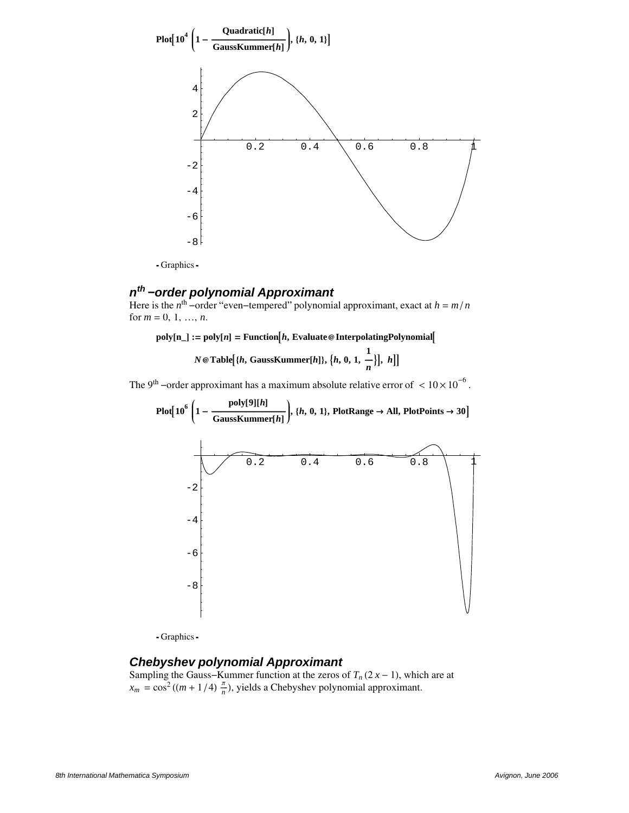

- Graphics -

# **n th −order polynomial Approximant**

Here is the  $n^{\text{th}}$  –order "even–tempered" polynomial approximant, exact at  $h = m/n$ for  $m = 0, 1, ..., n$ .

 $\text{poly}[n_\perp] := \text{poly}[n] = \text{Function}[h, \text{Evaluate } \textcircled{a} \text{ InterpolatingPolynomial}].$ 

*N* @ Table {*h*, GaussKummer[*h*]}, {*h*, 0, 1, **1**  $\frac{n}{n}$ , *h*|

The 9<sup>th</sup> –order approximant has a maximum absolute relative error of  $\langle 10 \times 10^{-6}$ .



- Graphics -

## **Chebyshev polynomial Approximant**

Sampling the Gauss–Kummer function at the zeros of  $T_n(2x - 1)$ , which are at  $x_m = \cos^2((m + 1/4) \frac{\pi}{n})$ , yields a Chebyshev polynomial approximant.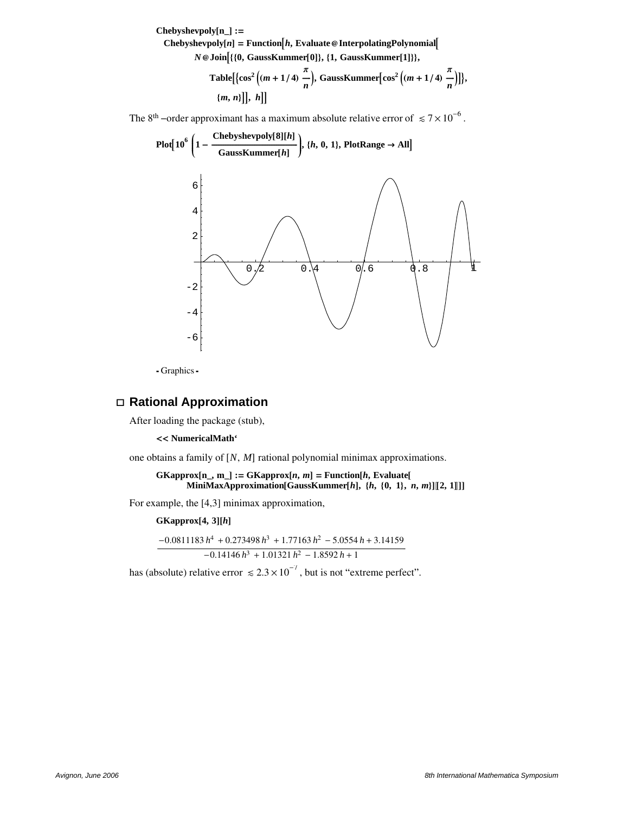$Chebyshevpoly[n_]:=$  $\mathbf{Chebyshevpoly}[n] = \mathbf{Function}[h, \mathbf{Evaluate} \otimes \mathbf{InterpolatingPolynomial}$ *N* @ Join<sup>[{{0,}</sup> GaussKummer<sup>[0]}</sup>, {1, GaussKummer<sup>[1]}}</sup>,  $\text{Table}$  $\left[\left\{\cos^2\left((m+1/4)\right)\right.\right.$ **Π**  $\frac{n}{n}$ , **GaussKummer**  $\left[\cos^2\left((m+1/4)\right)\right]$ **Π**  $\frac{n}{n}$ )]},  $\{m, n\}$ ,  $\{h\}$ 

The 8<sup>th</sup> –order approximant has a maximum absolute relative error of  $\leq 7 \times 10^{-6}$ .



- Graphics -

## **á Rational Approximation**

After loading the package (stub),

**<< NumericalMath'**

one obtains a family of  $[N, M]$  rational polynomial minimax approximations.

```
GKapprox[n_-, m_-] := GKapprox[n, m] = Function[h, Evaluate[n_-, m_-]MiniMaxApproximation[GaussKummer[h], {h, {0, 1}, n, m}][2, 1]]]
```
For example, the [4,3] minimax approximation,

 $GKapprox[4, 3][h]$ 

 $-0.0811183 h<sup>4</sup> + 0.273498 h<sup>3</sup> + 1.77163 h<sup>2</sup> - 5.0554 h + 3.14159$  $-0.14146 h^3 + 1.01321 h^2 - 1.8592 h + 1$ 

has (absolute) relative error  $\le 2.3 \times 10^{-7}$ , but is not "extreme perfect".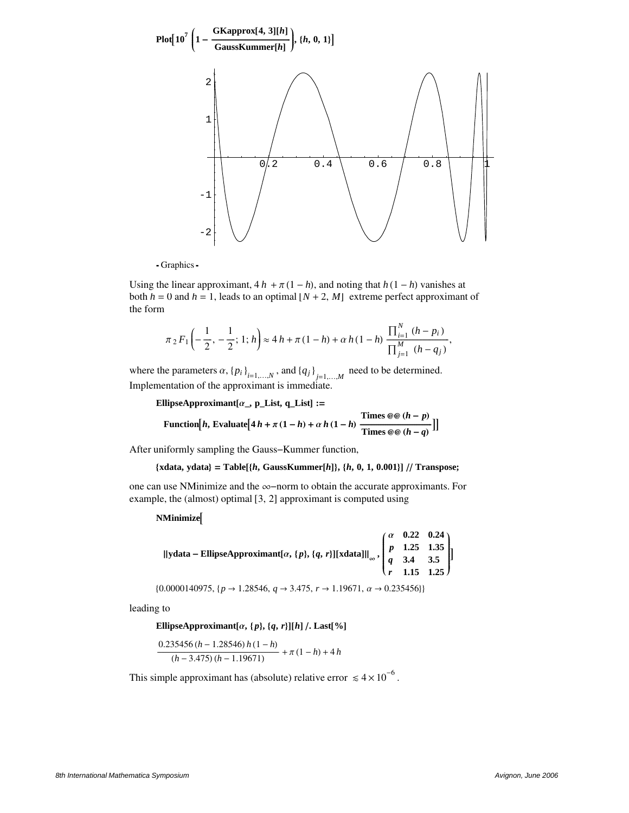

- Graphics -

Using the linear approximant,  $4h + \pi(1 - h)$ , and noting that  $h(1 - h)$  vanishes at both  $h = 0$  and  $h = 1$ , leads to an optimal  $[N + 2, M]$  extreme perfect approximant of the form

$$
\pi_2 F_1\left(-\frac{1}{2},-\frac{1}{2};1;h\right) \approx 4\,h + \pi\,(1-h) + \alpha\,h\,(1-h)\;\frac{\prod_{i=1}^N\,(h-p_i)}{\prod_{j=1}^M\,(h-q_j)},
$$

where the parameters  $\alpha$ ,  $\{p_i\}_{i=1,...,N}$ , and  $\{q_j\}_{j=1,...,M}$  need to be determined. Implementation of the approximant is immediate.

**EllipseApproximant** $[\alpha_-, \mathbf{p}_\text{L}]\mathbf{A}$ **,**  $[\alpha_-\mathbf{p}_\text{L}]$  **:=** 

Function[*h*, Evaluate[4 
$$
h + \pi (1 - h) + \alpha h (1 - h)
$$
 
$$
\frac{\text{Times } @ @ (h - p)}{\text{Times } @ @ (h - q)}]
$$
]

After uniformly sampling the Gauss−Kummer function,

#### {xdata, ydata} = Table[{ $h$ , GaussKummer[ $h$ ]}, { $h$ , 0, 1, 0.001}] // Transpose;

one can use NMinimize and the ∞−norm to obtain the accurate approximants. For example, the (almost) optimal  $[3, 2]$  approximant is computed using

#### $N$ **Minimize**

| ydata – EllipseApproximant[ $\alpha$ , {p}, {q, r}][xdata]   <sub>∞</sub> , $\begin{pmatrix} \alpha & 0.22 & 0.24 \\ p & 1.25 & 1.35 \\ q & 3.4 & 3.5 \\ r & 1.15 & 1.25 \end{pmatrix}$ ] |  |
|-------------------------------------------------------------------------------------------------------------------------------------------------------------------------------------------|--|
|                                                                                                                                                                                           |  |
|                                                                                                                                                                                           |  |

 $\{0.0000140975, \{p \rightarrow 1.28546, q \rightarrow 3.475, r \rightarrow 1.19671, \alpha \rightarrow 0.235456\}\}$ 

leading to

**EllipseApproximant**[ $\alpha$ ,  $\{p\}$ ,  $\{q, r\}$ ][ $h$ ] /. Last[%]

$$
\frac{0.235456 (h-1.28546) h (1-h)}{(h-3.475) (h-1.19671)} + \pi (1-h) + 4 h
$$

This simple approximant has (absolute) relative error  $\leq 4 \times 10^{-6}$ .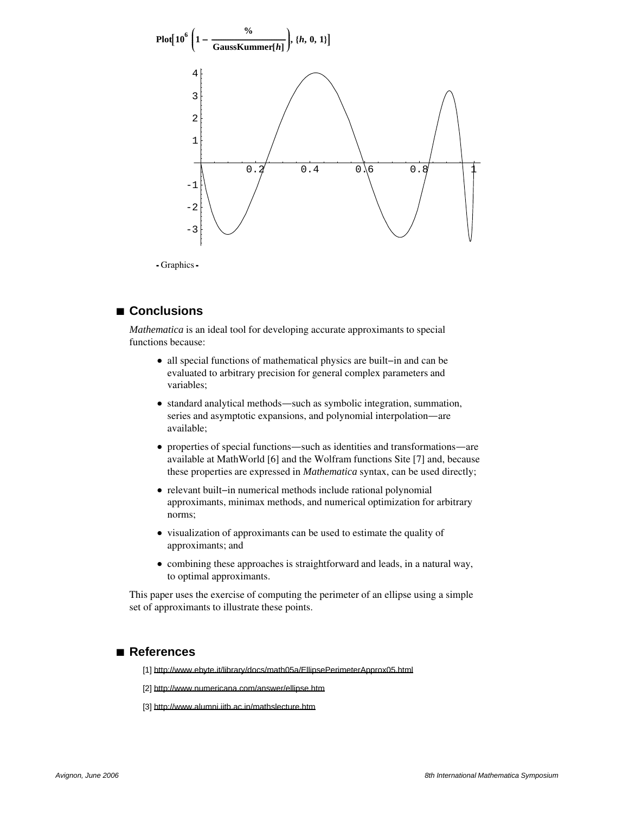

Graphics

## **à Conclusions**

*Mathematica* is an ideal tool for developing accurate approximants to special functions because:

- è all special functions of mathematical physics are built−in and can be evaluated to arbitrary precision for general complex parameters and variables;
- è standard analytical methods~such as symbolic integration, summation, series and asymptotic expansions, and polynomial interpolation—are available;
- properties of special functions—such as identities and transformations—are available at MathWorld [6] and the Wolfram functions Site [7] and, because these properties are expressed in *Mathematica* syntax, can be used directly;
- è relevant built−in numerical methods include rational polynomial approximants, minimax methods, and numerical optimization for arbitrary norms;
- è visualization of approximants can be used to estimate the quality of approximants; and
- è combining these approaches is straightforward and leads, in a natural way, to optimal approximants.

This paper uses the exercise of computing the perimeter of an ellipse using a simple set of approximants to illustrate these points.

#### **à References**

[1] http://www.ebyte.it/library/docs/math05a/EllipsePerimeterApprox05.html

[2] http://www.numericana.com/answer/ellipse.htm

[3] http://www.alumni.iitb.ac.in/mathslecture.htm